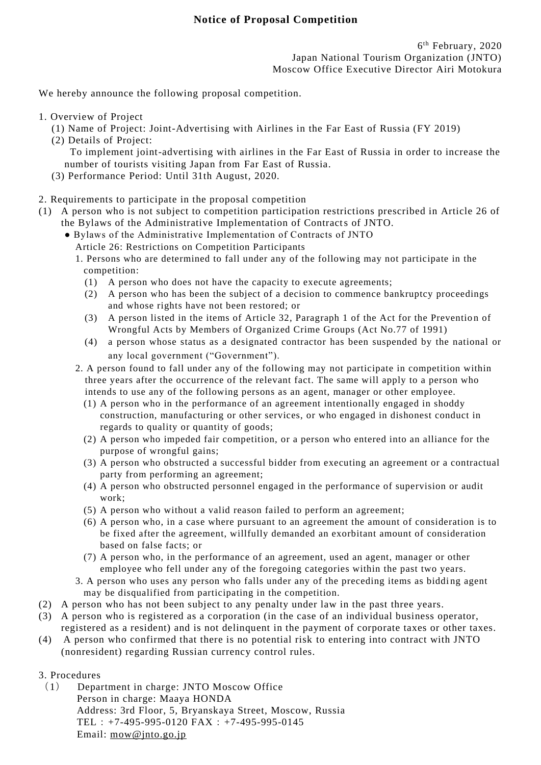We hereby announce the following proposal competition.

- 1. Overview of Project
	- (1) Name of Project: Joint-Advertising with Airlines in the Far East of Russia (FY 2019)
	- (2) Details of Project: To implement joint-advertising with airlines in the Far East of Russia in order to increase the
		- number of tourists visiting Japan from Far East of Russia.
	- (3) Performance Period: Until 31th August, 2020.
- 2. Requirements to participate in the proposal competition
- (1) A person who is not subject to competition participation restrictions prescribed in Article 26 of the Bylaws of the Administrative Implementation of Contracts of JNTO.
	- Bylaws of the Administrative Implementation of Contracts of JNTO
		- Article 26: Restrictions on Competition Participants
		- 1. Persons who are determined to fall under any of the following may not participate in the competition:
			- (1) A person who does not have the capacity to execute agreements;
			- (2) A person who has been the subject of a decision to commence bankruptcy proceedings and whose rights have not been restored; or
			- (3) A person listed in the items of Article 32, Paragraph 1 of the Act for the Prevention of Wrongful Acts by Members of Organized Crime Groups (Act No.77 of 1991)
			- (4) a person whose status as a designated contractor has been suspended by the national or any local government ("Government").
		- 2. A person found to fall under any of the following may not participate in competition within three years after the occurrence of the relevant fact. The same will apply to a person who intends to use any of the following persons as an agent, manager or other employee.
			- (1) A person who in the performance of an agreement intentionally engaged in shoddy construction, manufacturing or other services, or who engaged in dishonest conduct in regards to quality or quantity of goods;
			- (2) A person who impeded fair competition, or a person who entered into an alliance for the purpose of wrongful gains;
			- (3) A person who obstructed a successful bidder from executing an agreement or a contractual party from performing an agreement;
			- (4) A person who obstructed personnel engaged in the performance of supervision or audit work;
			- (5) A person who without a valid reason failed to perform an agreement;
			- (6) A person who, in a case where pursuant to an agreement the amount of consideration is to be fixed after the agreement, willfully demanded an exorbitant amount of consideration based on false facts; or
			- (7) A person who, in the performance of an agreement, used an agent, manager or other employee who fell under any of the foregoing categories within the past two years.
		- 3. A person who uses any person who falls under any of the preceding items as biddi ng agent may be disqualified from participating in the competition.
- (2) A person who has not been subject to any penalty under law in the past three years.
- (3) A person who is registered as a corporation (in the case of an individual business operator, registered as a resident) and is not delinquent in the payment of corporate taxes or other taxes.
- (4) A person who confirmed that there is no potential risk to entering into contract with JNTO (nonresident) regarding Russian currency control rules.
- 3. Procedures
	- (1) Department in charge: JNTO Moscow Office Person in charge: Maaya HONDA Address: 3rd Floor, 5, Bryanskaya Street, Moscow, Russia TEL:  $+7-495-995-0120$  FAX:  $+7-495-995-0145$ Email: [mow@jnto.go.jp](mailto:mow@jnto.go.jp)